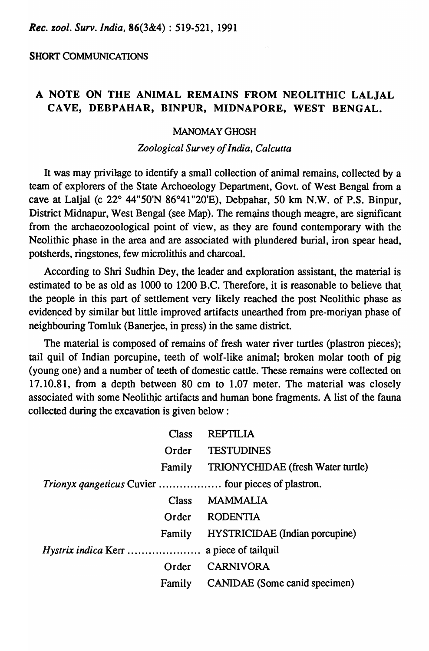SHORT COMMUNICATIONS

## A NOTE ON THE ANIMAL REMAINS FROM NEOLITHIC LALJAL CAVE, DEBPAHAR, BINPUR, MIDNAPORE, WEST BENGAL.

## **MANOMAY GHOSH**

## *Zoological Survey of India, Calcutta*

It was may privilage to identify a small collection of animal remains, collected by a team of explorers of the State Archoeology Department, Govt. of West Bengal from a cave at Laljal (c  $22^{\circ}$  44"50'N 86°41"20'E), Debpahar, 50 km N.W. of P.S. Binpur, District Midnapur, West Bengal (see Map). The remains though meagre, are significant from the archaeozoological point of view, as they are found contemporary with the Neolithic phase in the area and are associated with plundered burial, iron spear head, potsherds, ringstones, few microlithis and charcoal.

According to Shri Sudhin Dey, the leader and exploration assistant, the material is estimated to be as old as 1000 to 1200 B.C. Therefore, it is reasonable to believe that. the people in this part of settlement very likely reached the post Neolithic phase as evidenced by similar but little improved artifacts unearthed from pre-moriyan phase of neighbouring Tomluk (Banerjee, in press) in the same district.

The material is composed of remains of fresh water river turtles (plastron pieces); tail quil of Indian porcupine, teeth of wolf-like animal; broken molar tooth of pig (young one) and a number of teeth of domestic cattle. These remains were collected on  $17.10.81$ , from a depth between 80 cm to  $1.07$  meter. The material was closely associated with some Neolithic artifacts and human bone fragments. A list of the fauna collected during the excavation is given below:

| <b>Class</b>                                               | <b>REPTILIA</b>                          |
|------------------------------------------------------------|------------------------------------------|
| Order                                                      | <b>TESTUDINES</b>                        |
| Family                                                     | <b>TRIONYCHIDAE</b> (fresh Water turtle) |
| <i>Trionyx qangeticus</i> Cuvier  four pieces of plastron. |                                          |
| <b>Class</b>                                               | <b>MAMMALIA</b>                          |
| Order                                                      | <b>RODENTIA</b>                          |
| Family                                                     | <b>HYSTRICIDAE</b> (Indian porcupine)    |
| a piece of tailquil<br>$H$ ystrix indica Kerr              |                                          |
| Order                                                      | <b>CARNIVORA</b>                         |
| Family                                                     | <b>CANIDAE</b> (Some canid specimen)     |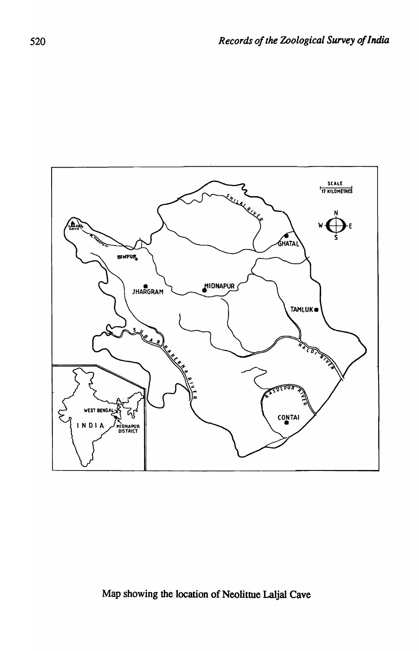

## Map showing the location of Neolittue Laljal Cave